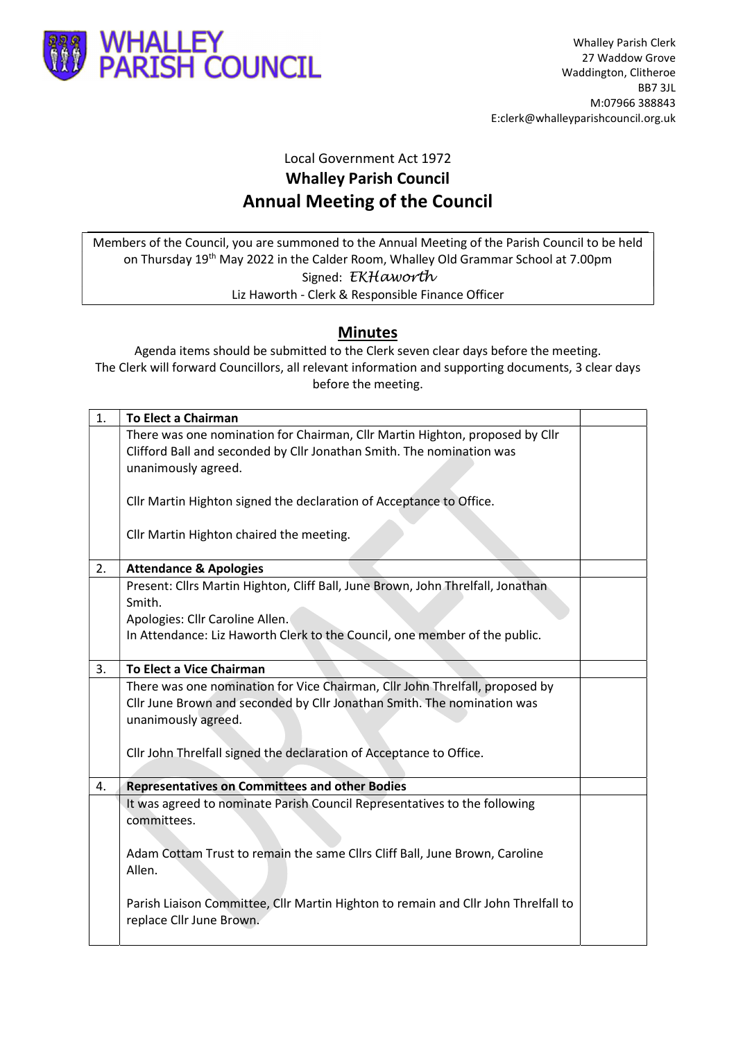

## Local Government Act 1972 Whalley Parish Council Annual Meeting of the Council

Members of the Council, you are summoned to the Annual Meeting of the Parish Council to be held on Thursday 19<sup>th</sup> May 2022 in the Calder Room, Whalley Old Grammar School at 7.00pm Signed: EKHaworth Liz Haworth - Clerk & Responsible Finance Officer

## Minutes

Agenda items should be submitted to the Clerk seven clear days before the meeting. The Clerk will forward Councillors, all relevant information and supporting documents, 3 clear days before the meeting.

| 1. | <b>To Elect a Chairman</b>                                                         |  |
|----|------------------------------------------------------------------------------------|--|
|    | There was one nomination for Chairman, Cllr Martin Highton, proposed by Cllr       |  |
|    | Clifford Ball and seconded by Cllr Jonathan Smith. The nomination was              |  |
|    | unanimously agreed.                                                                |  |
|    |                                                                                    |  |
|    | Cllr Martin Highton signed the declaration of Acceptance to Office.                |  |
|    |                                                                                    |  |
|    | Cllr Martin Highton chaired the meeting.                                           |  |
|    |                                                                                    |  |
| 2. | <b>Attendance &amp; Apologies</b>                                                  |  |
|    | Present: Cllrs Martin Highton, Cliff Ball, June Brown, John Threlfall, Jonathan    |  |
|    | Smith.                                                                             |  |
|    | Apologies: Cllr Caroline Allen.                                                    |  |
|    | In Attendance: Liz Haworth Clerk to the Council, one member of the public.         |  |
|    |                                                                                    |  |
| 3. | To Elect a Vice Chairman                                                           |  |
|    | There was one nomination for Vice Chairman, Cllr John Threlfall, proposed by       |  |
|    | Cllr June Brown and seconded by Cllr Jonathan Smith. The nomination was            |  |
|    | unanimously agreed.                                                                |  |
|    |                                                                                    |  |
|    | Cllr John Threlfall signed the declaration of Acceptance to Office.                |  |
|    |                                                                                    |  |
| 4. | <b>Representatives on Committees and other Bodies</b>                              |  |
|    | It was agreed to nominate Parish Council Representatives to the following          |  |
|    | committees.                                                                        |  |
|    |                                                                                    |  |
|    | Adam Cottam Trust to remain the same Cllrs Cliff Ball, June Brown, Caroline        |  |
|    | Allen.                                                                             |  |
|    |                                                                                    |  |
|    | Parish Liaison Committee, Cllr Martin Highton to remain and Cllr John Threlfall to |  |
|    | replace Cllr June Brown.                                                           |  |
|    |                                                                                    |  |